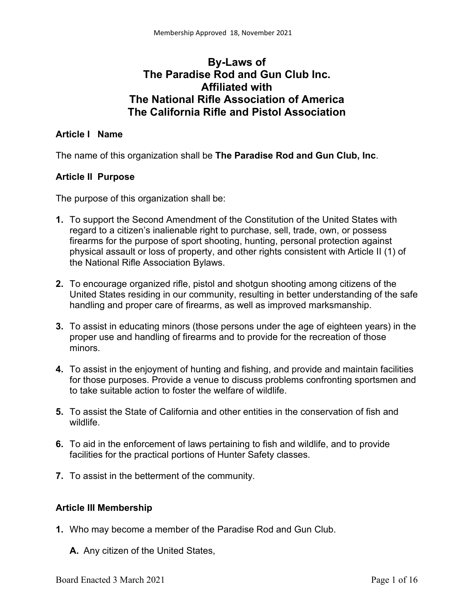# **By-Laws of The Paradise Rod and Gun Club Inc. Affiliated with The National Rifle Association of America The California Rifle and Pistol Association**

#### **Article I Name**

The name of this organization shall be **The Paradise Rod and Gun Club, Inc**.

#### **Article II Purpose**

The purpose of this organization shall be:

- **1.** To support the Second Amendment of the Constitution of the United States with regard to a citizen's inalienable right to purchase, sell, trade, own, or possess firearms for the purpose of sport shooting, hunting, personal protection against physical assault or loss of property, and other rights consistent with Article II (1) of the National Rifle Association Bylaws.
- **2.** To encourage organized rifle, pistol and shotgun shooting among citizens of the United States residing in our community, resulting in better understanding of the safe handling and proper care of firearms, as well as improved marksmanship.
- **3.** To assist in educating minors (those persons under the age of eighteen years) in the proper use and handling of firearms and to provide for the recreation of those minors.
- **4.** To assist in the enjoyment of hunting and fishing, and provide and maintain facilities for those purposes. Provide a venue to discuss problems confronting sportsmen and to take suitable action to foster the welfare of wildlife.
- **5.** To assist the State of California and other entities in the conservation of fish and wildlife.
- **6.** To aid in the enforcement of laws pertaining to fish and wildlife, and to provide facilities for the practical portions of Hunter Safety classes.
- **7.** To assist in the betterment of the community.

### **Article III Membership**

- **1.** Who may become a member of the Paradise Rod and Gun Club.
	- **A.** Any citizen of the United States,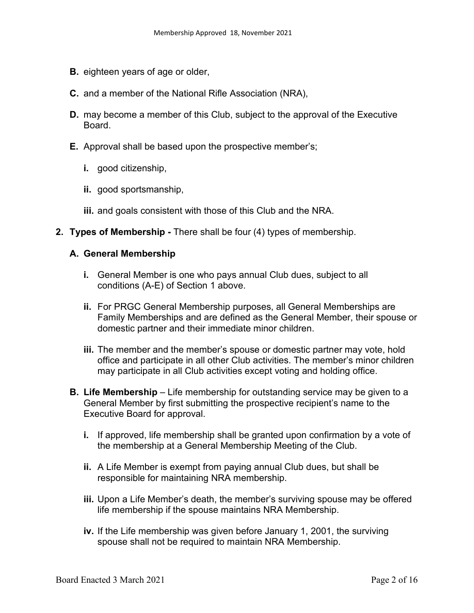- **B.** eighteen years of age or older,
- **C.** and a member of the National Rifle Association (NRA),
- **D.** may become a member of this Club, subject to the approval of the Executive **Board**
- **E.** Approval shall be based upon the prospective member's;
	- **i.** good citizenship,
	- **ii.** good sportsmanship,
	- **iii.** and goals consistent with those of this Club and the NRA.
- **2. Types of Membership -** There shall be four (4) types of membership.

#### **A. General Membership**

- **i.** General Member is one who pays annual Club dues, subject to all conditions (A-E) of Section 1 above.
- **ii.** For PRGC General Membership purposes, all General Memberships are Family Memberships and are defined as the General Member, their spouse or domestic partner and their immediate minor children.
- **iii.** The member and the member's spouse or domestic partner may vote, hold office and participate in all other Club activities. The member's minor children may participate in all Club activities except voting and holding office.
- **B. Life Membership** Life membership for outstanding service may be given to a General Member by first submitting the prospective recipient's name to the Executive Board for approval.
	- **i.** If approved, life membership shall be granted upon confirmation by a vote of the membership at a General Membership Meeting of the Club.
	- **ii.** A Life Member is exempt from paying annual Club dues, but shall be responsible for maintaining NRA membership.
	- **iii.** Upon a Life Member's death, the member's surviving spouse may be offered life membership if the spouse maintains NRA Membership.
	- **iv.** If the Life membership was given before January 1, 2001, the surviving spouse shall not be required to maintain NRA Membership.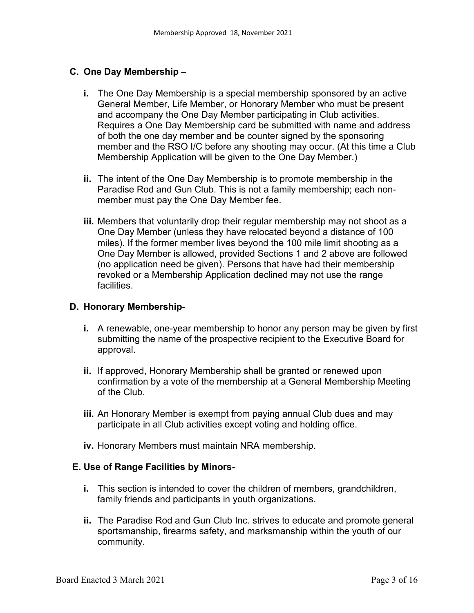#### **C. One Day Membership** –

- **i.** The One Day Membership is a special membership sponsored by an active General Member, Life Member, or Honorary Member who must be present and accompany the One Day Member participating in Club activities. Requires a One Day Membership card be submitted with name and address of both the one day member and be counter signed by the sponsoring member and the RSO I/C before any shooting may occur. (At this time a Club Membership Application will be given to the One Day Member.)
- **ii.** The intent of the One Day Membership is to promote membership in the Paradise Rod and Gun Club. This is not a family membership; each nonmember must pay the One Day Member fee.
- **iii.** Members that voluntarily drop their regular membership may not shoot as a One Day Member (unless they have relocated beyond a distance of 100 miles). If the former member lives beyond the 100 mile limit shooting as a One Day Member is allowed, provided Sections 1 and 2 above are followed (no application need be given). Persons that have had their membership revoked or a Membership Application declined may not use the range facilities.

#### **D. Honorary Membership**-

- **i.** A renewable, one-year membership to honor any person may be given by first submitting the name of the prospective recipient to the Executive Board for approval.
- **ii.** If approved, Honorary Membership shall be granted or renewed upon confirmation by a vote of the membership at a General Membership Meeting of the Club.
- **iii.** An Honorary Member is exempt from paying annual Club dues and may participate in all Club activities except voting and holding office.
- **iv.** Honorary Members must maintain NRA membership.

#### **E. Use of Range Facilities by Minors-**

- **i.** This section is intended to cover the children of members, grandchildren, family friends and participants in youth organizations.
- **ii.** The Paradise Rod and Gun Club Inc. strives to educate and promote general sportsmanship, firearms safety, and marksmanship within the youth of our community.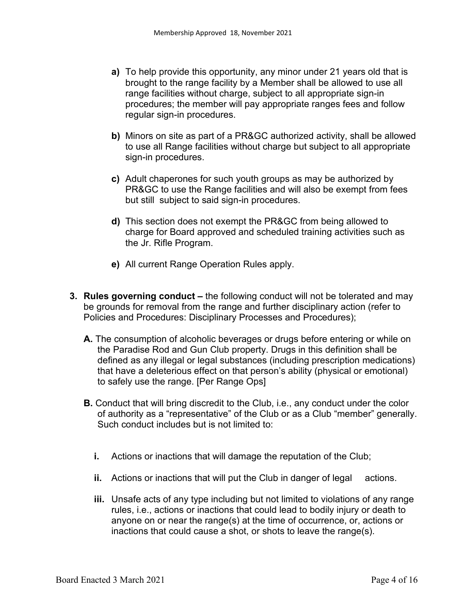- **a)** To help provide this opportunity, any minor under 21 years old that is brought to the range facility by a Member shall be allowed to use all range facilities without charge, subject to all appropriate sign-in procedures; the member will pay appropriate ranges fees and follow regular sign-in procedures.
- **b)** Minors on site as part of a PR&GC authorized activity, shall be allowed to use all Range facilities without charge but subject to all appropriate sign-in procedures.
- **c)** Adult chaperones for such youth groups as may be authorized by PR&GC to use the Range facilities and will also be exempt from fees but still subject to said sign-in procedures.
- **d)** This section does not exempt the PR&GC from being allowed to charge for Board approved and scheduled training activities such as the Jr. Rifle Program.
- **e)** All current Range Operation Rules apply.
- **3. Rules governing conduct –** the following conduct will not be tolerated and may be grounds for removal from the range and further disciplinary action (refer to Policies and Procedures: Disciplinary Processes and Procedures);
	- **A.** The consumption of alcoholic beverages or drugs before entering or while on the Paradise Rod and Gun Club property. Drugs in this definition shall be defined as any illegal or legal substances (including prescription medications) that have a deleterious effect on that person's ability (physical or emotional) to safely use the range. [Per Range Ops]
	- **B.** Conduct that will bring discredit to the Club, i.e., any conduct under the color of authority as a "representative" of the Club or as a Club "member" generally. Such conduct includes but is not limited to:
		- **i.** Actions or inactions that will damage the reputation of the Club;
		- **ii.** Actions or inactions that will put the Club in danger of legal actions.
		- **iii.** Unsafe acts of any type including but not limited to violations of any range rules, i.e., actions or inactions that could lead to bodily injury or death to anyone on or near the range(s) at the time of occurrence, or, actions or inactions that could cause a shot, or shots to leave the range(s).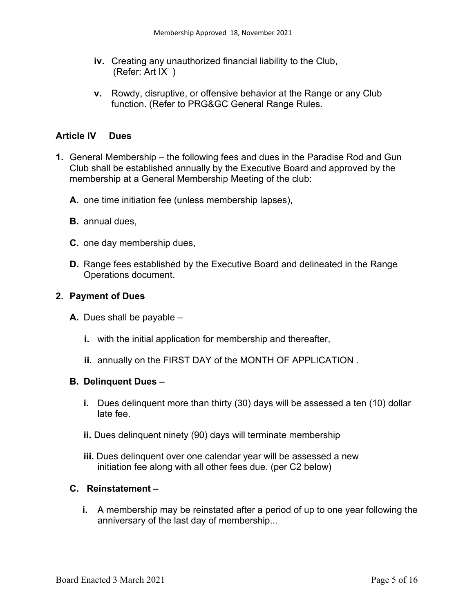- **iv.** Creating any unauthorized financial liability to the Club, (Refer: Art IX )
- **v.** Rowdy, disruptive, or offensive behavior at the Range or any Club function. (Refer to PRG&GC General Range Rules.

### **Article IV Dues**

- **1.** General Membership the following fees and dues in the Paradise Rod and Gun Club shall be established annually by the Executive Board and approved by the membership at a General Membership Meeting of the club:
	- **A.** one time initiation fee (unless membership lapses),
	- **B.** annual dues,
	- **C.** one day membership dues,
	- **D.** Range fees established by the Executive Board and delineated in the Range Operations document.

#### **2. Payment of Dues**

- **A.** Dues shall be payable
	- **i.** with the initial application for membership and thereafter,
	- **ii.** annually on the FIRST DAY of the MONTH OF APPLICATION .

#### **B. Delinquent Dues –**

- **i.** Dues delinquent more than thirty (30) days will be assessed a ten (10) dollar late fee.
- **ii.** Dues delinquent ninety (90) days will terminate membership
- **iii.** Dues delinquent over one calendar year will be assessed a new initiation fee along with all other fees due. (per C2 below)

### **C. Reinstatement –**

**i.** A membership may be reinstated after a period of up to one year following the anniversary of the last day of membership...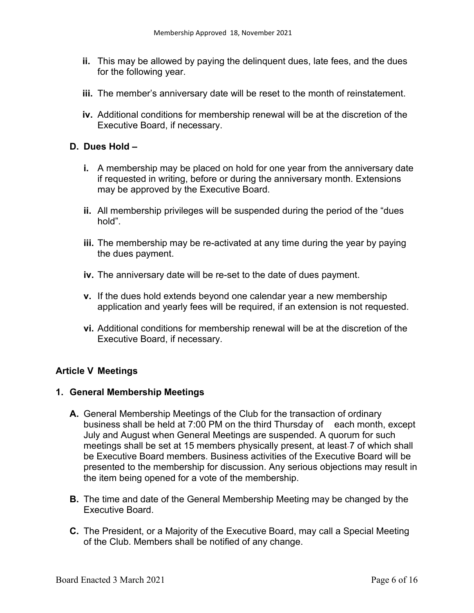- **ii.** This may be allowed by paying the delinquent dues, late fees, and the dues for the following year.
- **iii.** The member's anniversary date will be reset to the month of reinstatement.
- **iv.** Additional conditions for membership renewal will be at the discretion of the Executive Board, if necessary.

### **D. Dues Hold –**

- **i.** A membership may be placed on hold for one year from the anniversary date if requested in writing, before or during the anniversary month. Extensions may be approved by the Executive Board.
- **ii.** All membership privileges will be suspended during the period of the "dues hold".
- **iii.** The membership may be re-activated at any time during the year by paying the dues payment.
- **iv.** The anniversary date will be re-set to the date of dues payment.
- **v.** If the dues hold extends beyond one calendar year a new membership application and yearly fees will be required, if an extension is not requested.
- **vi.** Additional conditions for membership renewal will be at the discretion of the Executive Board, if necessary.

### **Article V Meetings**

### **1. General Membership Meetings**

- **A.** General Membership Meetings of the Club for the transaction of ordinary business shall be held at 7:00 PM on the third Thursday of each month, except July and August when General Meetings are suspended. A quorum for such meetings shall be set at 15 members physically present, at least-7 of which shall be Executive Board members. Business activities of the Executive Board will be presented to the membership for discussion. Any serious objections may result in the item being opened for a vote of the membership.
- **B.** The time and date of the General Membership Meeting may be changed by the Executive Board.
- **C.** The President, or a Majority of the Executive Board, may call a Special Meeting of the Club. Members shall be notified of any change.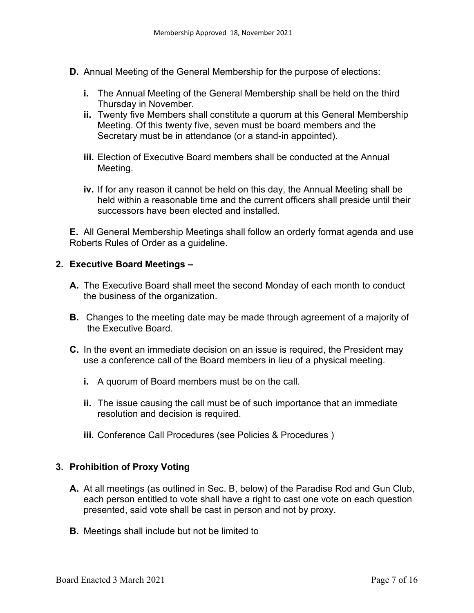- **D.** Annual Meeting of the General Membership for the purpose of elections:
	- **i.** The Annual Meeting of the General Membership shall be held on the third Thursday in November.
	- **ii.** Twenty five Members shall constitute a quorum at this General Membership Meeting. Of this twenty five, seven must be board members and the Secretary must be in attendance (or a stand-in appointed).
	- **iii.** Election of Executive Board members shall be conducted at the Annual Meeting.
	- **iv.** If for any reason it cannot be held on this day, the Annual Meeting shall be held within a reasonable time and the current officers shall preside until their successors have been elected and installed.

**E.** All General Membership Meetings shall follow an orderly format agenda and use Roberts Rules of Order as a guideline.

### **2. Executive Board Meetings –**

- **A.** The Executive Board shall meet the second Monday of each month to conduct the business of the organization.
- **B.** Changes to the meeting date may be made through agreement of a majority of the Executive Board.
- **C.** In the event an immediate decision on an issue is required, the President may use a conference call of the Board members in lieu of a physical meeting.
	- **i.** A quorum of Board members must be on the call.
	- **ii.** The issue causing the call must be of such importance that an immediate resolution and decision is required.
	- **iii.** Conference Call Procedures (see Policies & Procedures )

### **3. Prohibition of Proxy Voting**

- **A.** At all meetings (as outlined in Sec. B, below) of the Paradise Rod and Gun Club, each person entitled to vote shall have a right to cast one vote on each question presented, said vote shall be cast in person and not by proxy.
- **B.** Meetings shall include but not be limited to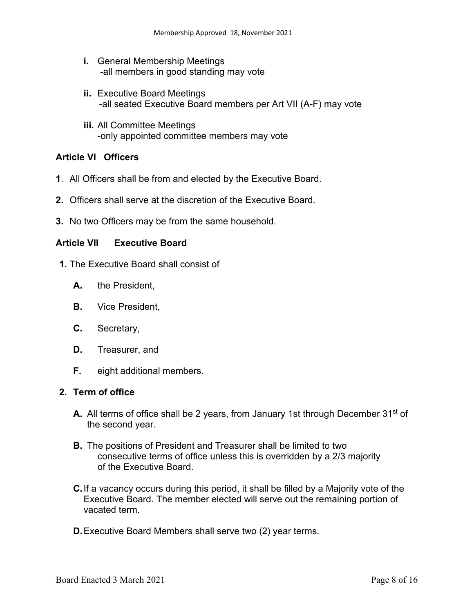- **i.** General Membership Meetings -all members in good standing may vote
- **ii.** Executive Board Meetings -all seated Executive Board members per Art VII (A-F) may vote
- **iii.** All Committee Meetings -only appointed committee members may vote

# **Article VI Officers**

- **1**. All Officers shall be from and elected by the Executive Board.
- **2.** Officers shall serve at the discretion of the Executive Board.
- **3.** No two Officers may be from the same household.

## **Article VII Executive Board**

- **1.** The Executive Board shall consist of
	- **A.** the President,
	- **B.** Vice President,
	- **C.** Secretary,
	- **D.** Treasurer, and
	- **F.** eight additional members.

#### **2. Term of office**

- **A.** All terms of office shall be 2 years, from January 1st through December 31st of the second year.
- **B.** The positions of President and Treasurer shall be limited to two consecutive terms of office unless this is overridden by a 2/3 majority of the Executive Board.
- **C.**If a vacancy occurs during this period, it shall be filled by a Majority vote of the Executive Board. The member elected will serve out the remaining portion of vacated term.
- **D.**Executive Board Members shall serve two (2) year terms.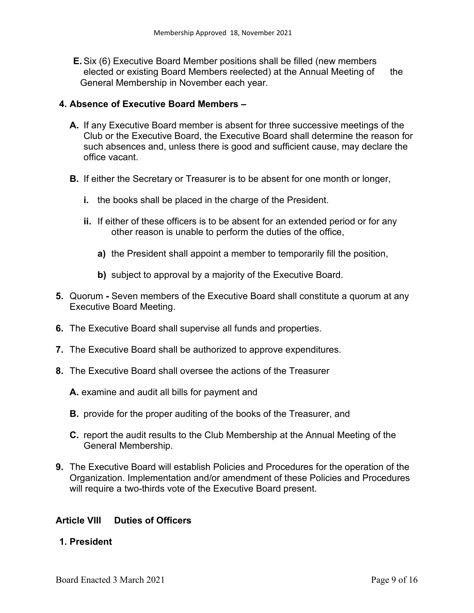**E.** Six (6) Executive Board Member positions shall be filled (new members elected or existing Board Members reelected) at the Annual Meeting of the General Membership in November each year.

### **4. Absence of Executive Board Members –**

- **A.** If any Executive Board member is absent for three successive meetings of the Club or the Executive Board, the Executive Board shall determine the reason for such absences and, unless there is good and sufficient cause, may declare the office vacant.
- **B.** If either the Secretary or Treasurer is to be absent for one month or longer,
	- **i.** the books shall be placed in the charge of the President.
	- **ii.** If either of these officers is to be absent for an extended period or for any other reason is unable to perform the duties of the office,
		- **a)** the President shall appoint a member to temporarily fill the position,
		- **b)** subject to approval by a majority of the Executive Board.
- **5.** Quorum **-** Seven members of the Executive Board shall constitute a quorum at any Executive Board Meeting.
- **6.** The Executive Board shall supervise all funds and properties.
- **7.** The Executive Board shall be authorized to approve expenditures.
- **8.** The Executive Board shall oversee the actions of the Treasurer
	- **A.** examine and audit all bills for payment and
	- **B.** provide for the proper auditing of the books of the Treasurer, and
	- **C.** report the audit results to the Club Membership at the Annual Meeting of the General Membership.
- **9.** The Executive Board will establish Policies and Procedures for the operation of the Organization. Implementation and/or amendment of these Policies and Procedures will require a two-thirds vote of the Executive Board present.

# **Article VIII Duties of Officers**

### **1. President**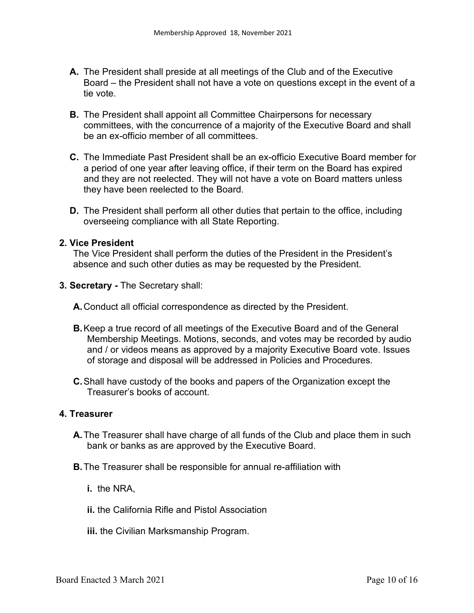- **A.** The President shall preside at all meetings of the Club and of the Executive Board – the President shall not have a vote on questions except in the event of a tie vote.
- **B.** The President shall appoint all Committee Chairpersons for necessary committees, with the concurrence of a majority of the Executive Board and shall be an ex-officio member of all committees.
- **C.** The Immediate Past President shall be an ex-officio Executive Board member for a period of one year after leaving office, if their term on the Board has expired and they are not reelected. They will not have a vote on Board matters unless they have been reelected to the Board.
- **D.** The President shall perform all other duties that pertain to the office, including overseeing compliance with all State Reporting.

#### **2. Vice President**

The Vice President shall perform the duties of the President in the President's absence and such other duties as may be requested by the President.

- **3. Secretary -** The Secretary shall:
	- **A.**Conduct all official correspondence as directed by the President.
	- **B.**Keep a true record of all meetings of the Executive Board and of the General Membership Meetings. Motions, seconds, and votes may be recorded by audio and / or videos means as approved by a majority Executive Board vote. Issues of storage and disposal will be addressed in Policies and Procedures.
	- **C.**Shall have custody of the books and papers of the Organization except the Treasurer's books of account.

#### **4. Treasurer**

- **A.**The Treasurer shall have charge of all funds of the Club and place them in such bank or banks as are approved by the Executive Board.
- **B.**The Treasurer shall be responsible for annual re-affiliation with
	- **i.** the NRA,
	- **ii.** the California Rifle and Pistol Association
	- **iii.** the Civilian Marksmanship Program.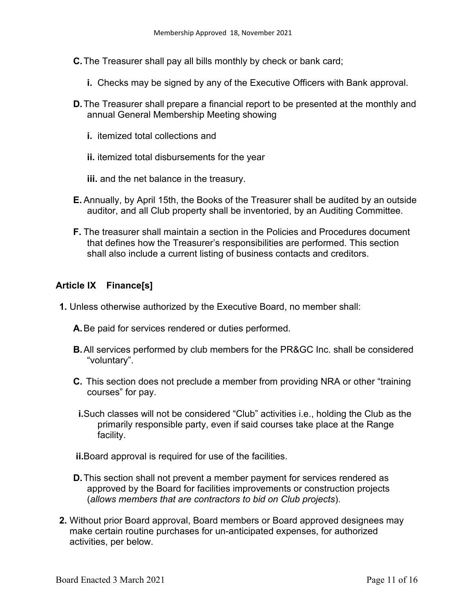- **C.**The Treasurer shall pay all bills monthly by check or bank card;
	- **i.** Checks may be signed by any of the Executive Officers with Bank approval.
- **D.**The Treasurer shall prepare a financial report to be presented at the monthly and annual General Membership Meeting showing
	- **i.** itemized total collections and
	- **ii.** itemized total disbursements for the year
	- **iii.** and the net balance in the treasury.
- **E.** Annually, by April 15th, the Books of the Treasurer shall be audited by an outside auditor, and all Club property shall be inventoried, by an Auditing Committee.
- **F.** The treasurer shall maintain a section in the Policies and Procedures document that defines how the Treasurer's responsibilities are performed. This section shall also include a current listing of business contacts and creditors.

#### **Article IX Finance[s]**

- **1.** Unless otherwise authorized by the Executive Board, no member shall:
	- **A.**Be paid for services rendered or duties performed.
	- **B.**All services performed by club members for the PR&GC Inc. shall be considered "voluntary".
	- **C.** This section does not preclude a member from providing NRA or other "training courses" for pay.
	- **i.**Such classes will not be considered "Club" activities i.e., holding the Club as the primarily responsible party, even if said courses take place at the Range facility.
	- **ii.**Board approval is required for use of the facilities.
	- **D.**This section shall not prevent a member payment for services rendered as approved by the Board for facilities improvements or construction projects (*allows members that are contractors to bid on Club projects*).
- **2.** Without prior Board approval, Board members or Board approved designees may make certain routine purchases for un-anticipated expenses, for authorized activities, per below.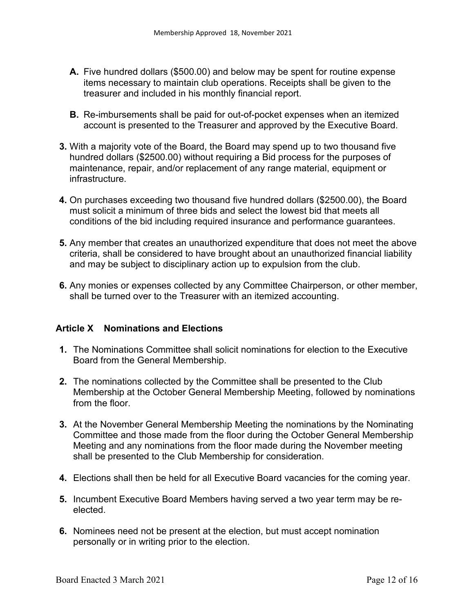- **A.** Five hundred dollars (\$500.00) and below may be spent for routine expense items necessary to maintain club operations. Receipts shall be given to the treasurer and included in his monthly financial report.
- **B.** Re-imbursements shall be paid for out-of-pocket expenses when an itemized account is presented to the Treasurer and approved by the Executive Board.
- **3.** With a majority vote of the Board, the Board may spend up to two thousand five hundred dollars (\$2500.00) without requiring a Bid process for the purposes of maintenance, repair, and/or replacement of any range material, equipment or infrastructure.
- **4.** On purchases exceeding two thousand five hundred dollars (\$2500.00), the Board must solicit a minimum of three bids and select the lowest bid that meets all conditions of the bid including required insurance and performance guarantees.
- **5.** Any member that creates an unauthorized expenditure that does not meet the above criteria, shall be considered to have brought about an unauthorized financial liability and may be subject to disciplinary action up to expulsion from the club.
- **6.** Any monies or expenses collected by any Committee Chairperson, or other member, shall be turned over to the Treasurer with an itemized accounting.

### **Article X Nominations and Elections**

- **1.** The Nominations Committee shall solicit nominations for election to the Executive Board from the General Membership.
- **2.** The nominations collected by the Committee shall be presented to the Club Membership at the October General Membership Meeting, followed by nominations from the floor.
- **3.** At the November General Membership Meeting the nominations by the Nominating Committee and those made from the floor during the October General Membership Meeting and any nominations from the floor made during the November meeting shall be presented to the Club Membership for consideration.
- **4.** Elections shall then be held for all Executive Board vacancies for the coming year.
- **5.** Incumbent Executive Board Members having served a two year term may be reelected.
- **6.** Nominees need not be present at the election, but must accept nomination personally or in writing prior to the election.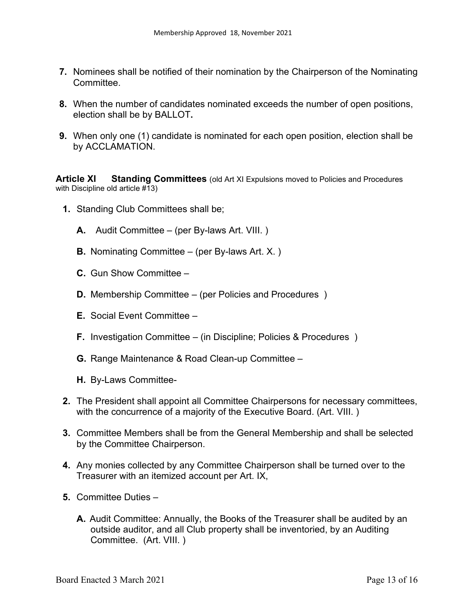- **7.** Nominees shall be notified of their nomination by the Chairperson of the Nominating **Committee.**
- **8.** When the number of candidates nominated exceeds the number of open positions, election shall be by BALLOT**.**
- **9.** When only one (1) candidate is nominated for each open position, election shall be by ACCLAMATION.

**Article XI Standing Committees** (old Art XI Expulsions moved to Policies and Procedures with Discipline old article #13)

- **1.** Standing Club Committees shall be;
	- **A.** Audit Committee (per By-laws Art. VIII. )
	- **B.** Nominating Committee (per By-laws Art. X. )
	- **C.** Gun Show Committee –
	- **D.** Membership Committee (per Policies and Procedures )
	- **E.** Social Event Committee –
	- **F.** Investigation Committee (in Discipline; Policies & Procedures )
	- **G.** Range Maintenance & Road Clean-up Committee –
	- **H.** By-Laws Committee-
- **2.** The President shall appoint all Committee Chairpersons for necessary committees, with the concurrence of a majority of the Executive Board. (Art. VIII. )
- **3.** Committee Members shall be from the General Membership and shall be selected by the Committee Chairperson.
- **4.** Any monies collected by any Committee Chairperson shall be turned over to the Treasurer with an itemized account per Art. IX,
- **5.** Committee Duties
	- **A.** Audit Committee: Annually, the Books of the Treasurer shall be audited by an outside auditor, and all Club property shall be inventoried, by an Auditing Committee. (Art. VIII. )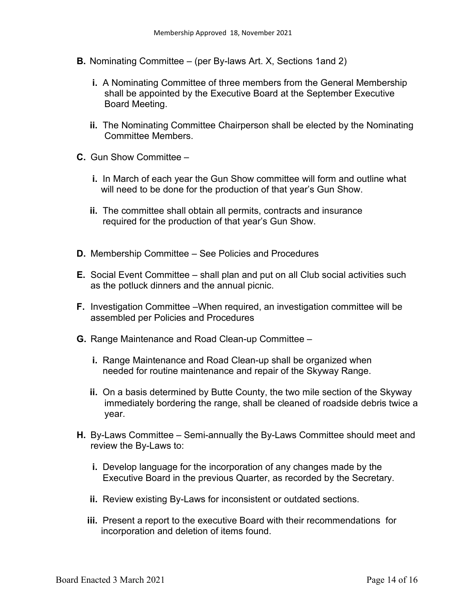- **B.** Nominating Committee (per By-laws Art. X, Sections 1and 2)
	- **i.** A Nominating Committee of three members from the General Membership shall be appointed by the Executive Board at the September Executive Board Meeting.
	- **ii.** The Nominating Committee Chairperson shall be elected by the Nominating Committee Members.
- **C.** Gun Show Committee
	- **i.** In March of each year the Gun Show committee will form and outline what will need to be done for the production of that year's Gun Show.
	- **ii.** The committee shall obtain all permits, contracts and insurance required for the production of that year's Gun Show.
- **D.** Membership Committee See Policies and Procedures
- **E.** Social Event Committee shall plan and put on all Club social activities such as the potluck dinners and the annual picnic.
- **F.** Investigation Committee –When required, an investigation committee will be assembled per Policies and Procedures
- **G.** Range Maintenance and Road Clean-up Committee
	- **i.** Range Maintenance and Road Clean-up shall be organized when needed for routine maintenance and repair of the Skyway Range.
	- **ii.** On a basis determined by Butte County, the two mile section of the Skyway immediately bordering the range, shall be cleaned of roadside debris twice a year.
- **H.** By-Laws Committee Semi-annually the By-Laws Committee should meet and review the By-Laws to:
	- **i.** Develop language for the incorporation of any changes made by the Executive Board in the previous Quarter, as recorded by the Secretary.
	- **ii.** Review existing By-Laws for inconsistent or outdated sections.
	- **iii.** Present a report to the executive Board with their recommendations for incorporation and deletion of items found.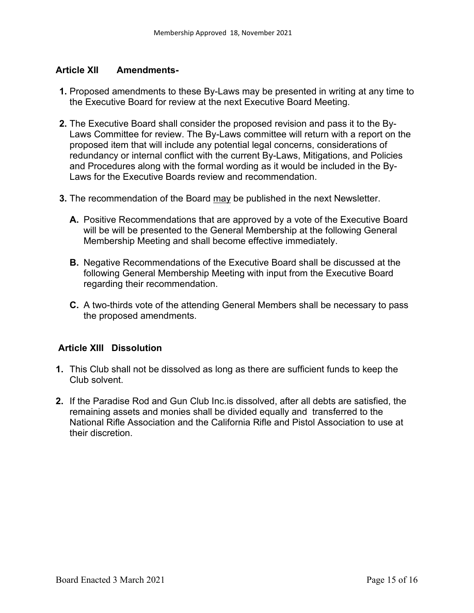### **Article XII Amendments-**

- **1.** Proposed amendments to these By-Laws may be presented in writing at any time to the Executive Board for review at the next Executive Board Meeting.
- **2.** The Executive Board shall consider the proposed revision and pass it to the By-Laws Committee for review. The By-Laws committee will return with a report on the proposed item that will include any potential legal concerns, considerations of redundancy or internal conflict with the current By-Laws, Mitigations, and Policies and Procedures along with the formal wording as it would be included in the By-Laws for the Executive Boards review and recommendation.
- **3.** The recommendation of the Board may be published in the next Newsletter.
	- **A.** Positive Recommendations that are approved by a vote of the Executive Board will be will be presented to the General Membership at the following General Membership Meeting and shall become effective immediately.
	- **B.** Negative Recommendations of the Executive Board shall be discussed at the following General Membership Meeting with input from the Executive Board regarding their recommendation.
	- **C.** A two-thirds vote of the attending General Members shall be necessary to pass the proposed amendments.

### **Article XIII Dissolution**

- **1.** This Club shall not be dissolved as long as there are sufficient funds to keep the Club solvent.
- **2.** If the Paradise Rod and Gun Club Inc.is dissolved, after all debts are satisfied, the remaining assets and monies shall be divided equally and transferred to the National Rifle Association and the California Rifle and Pistol Association to use at their discretion.